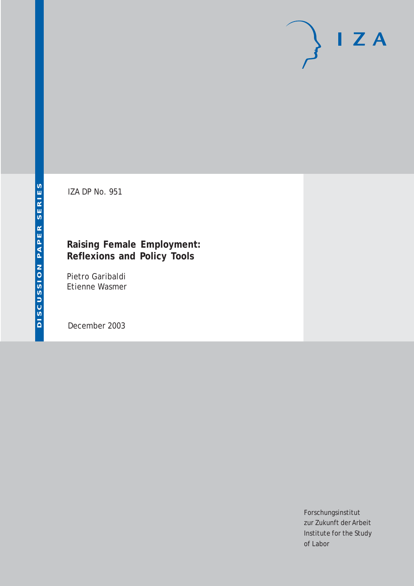# $I Z A$

IZA DP No. 951

## **Raising Female Employment: Reflexions and Policy Tools**

Pietro Garibaldi Etienne Wasmer

December 2003

Forschungsinstitut zur Zukunft der Arbeit Institute for the Study of Labor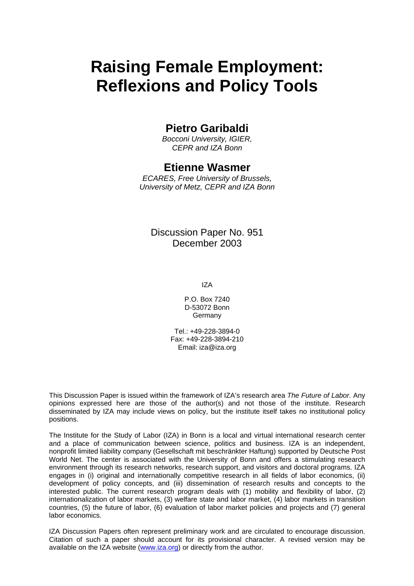# **Raising Female Employment: Reflexions and Policy Tools**

## **Pietro Garibaldi**

*Bocconi University, IGIER, CEPR and IZA Bonn* 

#### **Etienne Wasmer**

*ECARES, Free University of Brussels, University of Metz, CEPR and IZA Bonn* 

#### Discussion Paper No. 951 December 2003

IZA

P.O. Box 7240 D-53072 Bonn Germany

Tel.: +49-228-3894-0 Fax: +49-228-3894-210 Email: [iza@iza.org](mailto:iza@iza.org)

This Discussion Paper is issued within the framework of IZA's research area *The Future of Labor.* Any opinions expressed here are those of the author(s) and not those of the institute. Research disseminated by IZA may include views on policy, but the institute itself takes no institutional policy positions.

The Institute for the Study of Labor (IZA) in Bonn is a local and virtual international research center and a place of communication between science, politics and business. IZA is an independent, nonprofit limited liability company (Gesellschaft mit beschränkter Haftung) supported by Deutsche Post World Net. The center is associated with the University of Bonn and offers a stimulating research environment through its research networks, research support, and visitors and doctoral programs. IZA engages in (i) original and internationally competitive research in all fields of labor economics, (ii) development of policy concepts, and (iii) dissemination of research results and concepts to the interested public. The current research program deals with (1) mobility and flexibility of labor, (2) internationalization of labor markets, (3) welfare state and labor market, (4) labor markets in transition countries, (5) the future of labor, (6) evaluation of labor market policies and projects and (7) general labor economics.

IZA Discussion Papers often represent preliminary work and are circulated to encourage discussion. Citation of such a paper should account for its provisional character. A revised version may be available on the IZA website ([www.iza.org](http://www.iza.org/)) or directly from the author.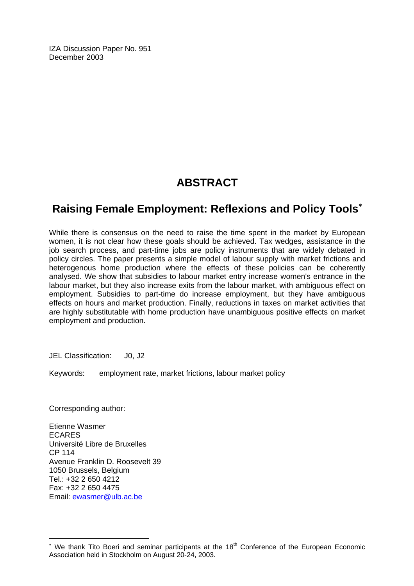IZA Discussion Paper No. 951 December 2003

## **ABSTRACT**

## **Raising Female Employment: Reflexions and Policy Tools**[∗](#page-2-0)

While there is consensus on the need to raise the time spent in the market by European women, it is not clear how these goals should be achieved. Tax wedges, assistance in the job search process, and part-time jobs are policy instruments that are widely debated in policy circles. The paper presents a simple model of labour supply with market frictions and heterogenous home production where the effects of these policies can be coherently analysed. We show that subsidies to labour market entry increase women's entrance in the labour market, but they also increase exits from the labour market, with ambiguous effect on employment. Subsidies to part-time do increase employment, but they have ambiguous effects on hours and market production. Finally, reductions in taxes on market activities that are highly substitutable with home production have unambiguous positive effects on market employment and production.

JEL Classification: J0, J2

Keywords: employment rate, market frictions, labour market policy

Corresponding author:

 $\overline{a}$ 

Etienne Wasmer ECARES Université Libre de Bruxelles CP 114 Avenue Franklin D. Roosevelt 39 1050 Brussels, Belgium Tel.: +32 2 650 4212 Fax: +32 2 650 4475 Email: [ewasmer@ulb.ac.be](mailto:ewasmer@ulb.ac.be)

<span id="page-2-0"></span><sup>∗</sup> We thank Tito Boeri and seminar participants at the 18<sup>th</sup> Conference of the European Economic Association held in Stockholm on August 20-24, 2003.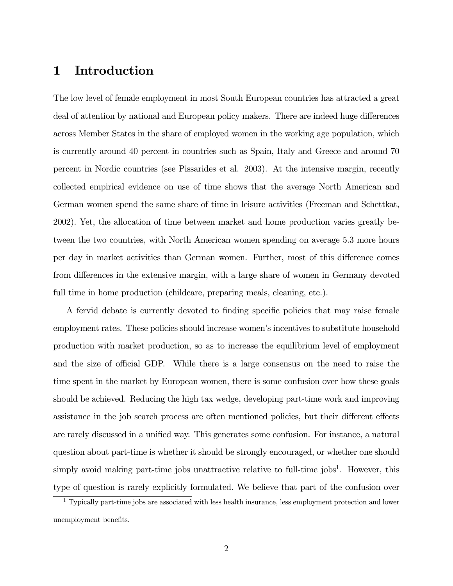## 1 Introduction

The low level of female employment in most South European countries has attracted a great deal of attention by national and European policy makers. There are indeed huge differences across Member States in the share of employed women in the working age population, which is currently around 40 percent in countries such as Spain, Italy and Greece and around 70 percent in Nordic countries (see Pissarides et al. 2003). At the intensive margin, recently collected empirical evidence on use of time shows that the average North American and German women spend the same share of time in leisure activities (Freeman and Schettkat, 2002). Yet, the allocation of time between market and home production varies greatly between the two countries, with North American women spending on average 5.3 more hours per day in market activities than German women. Further, most of this difference comes from differences in the extensive margin, with a large share of women in Germany devoted full time in home production (childcare, preparing meals, cleaning, etc.).

A fervid debate is currently devoted to finding specific policies that may raise female employment rates. These policies should increase women's incentives to substitute household production with market production, so as to increase the equilibrium level of employment and the size of official GDP. While there is a large consensus on the need to raise the time spent in the market by European women, there is some confusion over how these goals should be achieved. Reducing the high tax wedge, developing part-time work and improving assistance in the job search process are often mentioned policies, but their different effects are rarely discussed in a unified way. This generates some confusion. For instance, a natural question about part-time is whether it should be strongly encouraged, or whether one should simply avoid making part-time jobs unattractive relative to full-time jobs<sup>1</sup>. However, this type of question is rarely explicitly formulated. We believe that part of the confusion over

 $1$  Typically part-time jobs are associated with less health insurance, less employment protection and lower unemployment benefits.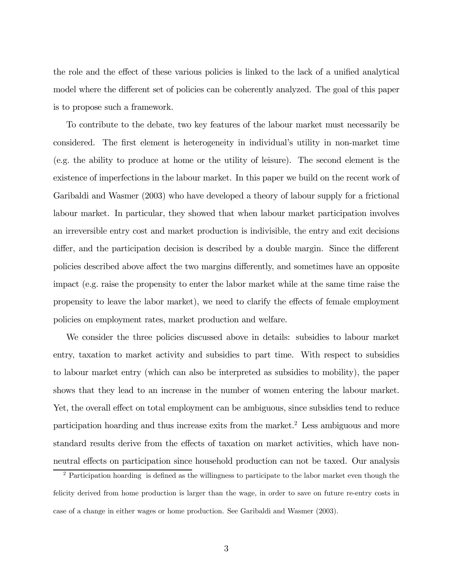the role and the effect of these various policies is linked to the lack of a unified analytical model where the different set of policies can be coherently analyzed. The goal of this paper is to propose such a framework.

To contribute to the debate, two key features of the labour market must necessarily be considered. The first element is heterogeneity in individual's utility in non-market time (e.g. the ability to produce at home or the utility of leisure). The second element is the existence of imperfections in the labour market. In this paper we build on the recent work of Garibaldi and Wasmer (2003) who have developed a theory of labour supply for a frictional labour market. In particular, they showed that when labour market participation involves an irreversible entry cost and market production is indivisible, the entry and exit decisions differ, and the participation decision is described by a double margin. Since the different policies described above affect the two margins differently, and sometimes have an opposite impact (e.g. raise the propensity to enter the labor market while at the same time raise the propensity to leave the labor market), we need to clarify the effects of female employment policies on employment rates, market production and welfare.

We consider the three policies discussed above in details: subsidies to labour market entry, taxation to market activity and subsidies to part time. With respect to subsidies to labour market entry (which can also be interpreted as subsidies to mobility), the paper shows that they lead to an increase in the number of women entering the labour market. Yet, the overall effect on total employment can be ambiguous, since subsidies tend to reduce participation hoarding and thus increase exits from the market.2 Less ambiguous and more standard results derive from the effects of taxation on market activities, which have nonneutral effects on participation since household production can not be taxed. Our analysis

 $2$  Participation hoarding is defined as the willingness to participate to the labor market even though the felicity derived from home production is larger than the wage, in order to save on future re-entry costs in case of a change in either wages or home production. See Garibaldi and Wasmer (2003).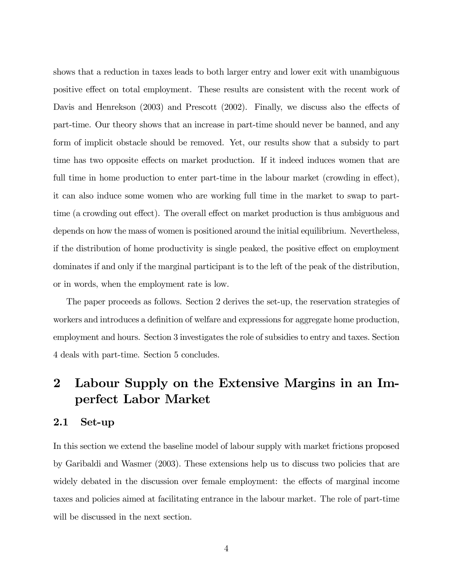shows that a reduction in taxes leads to both larger entry and lower exit with unambiguous positive effect on total employment. These results are consistent with the recent work of Davis and Henrekson (2003) and Prescott (2002). Finally, we discuss also the effects of part-time. Our theory shows that an increase in part-time should never be banned, and any form of implicit obstacle should be removed. Yet, our results show that a subsidy to part time has two opposite effects on market production. If it indeed induces women that are full time in home production to enter part-time in the labour market (crowding in effect), it can also induce some women who are working full time in the market to swap to parttime (a crowding out effect). The overall effect on market production is thus ambiguous and depends on how the mass of women is positioned around the initial equilibrium. Nevertheless, if the distribution of home productivity is single peaked, the positive effect on employment dominates if and only if the marginal participant is to the left of the peak of the distribution, or in words, when the employment rate is low.

The paper proceeds as follows. Section 2 derives the set-up, the reservation strategies of workers and introduces a definition of welfare and expressions for aggregate home production, employment and hours. Section 3 investigates the role of subsidies to entry and taxes. Section 4 deals with part-time. Section 5 concludes.

## 2 Labour Supply on the Extensive Margins in an Imperfect Labor Market

#### 2.1 Set-up

In this section we extend the baseline model of labour supply with market frictions proposed by Garibaldi and Wasmer (2003). These extensions help us to discuss two policies that are widely debated in the discussion over female employment: the effects of marginal income taxes and policies aimed at facilitating entrance in the labour market. The role of part-time will be discussed in the next section.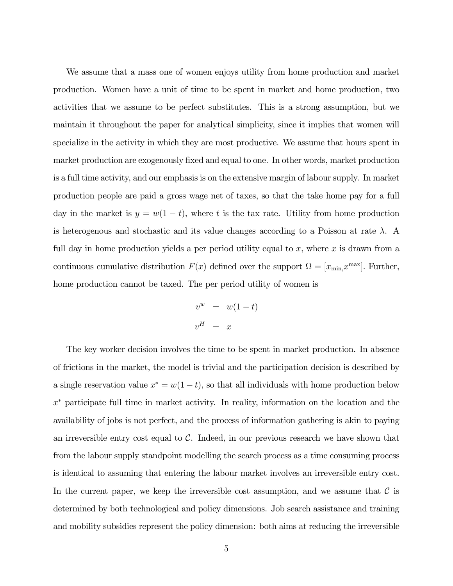We assume that a mass one of women enjoys utility from home production and market production. Women have a unit of time to be spent in market and home production, two activities that we assume to be perfect substitutes. This is a strong assumption, but we maintain it throughout the paper for analytical simplicity, since it implies that women will specialize in the activity in which they are most productive. We assume that hours spent in market production are exogenously fixed and equal to one. In other words, market production is a full time activity, and our emphasis is on the extensive margin of labour supply. In market production people are paid a gross wage net of taxes, so that the take home pay for a full day in the market is  $y = w(1-t)$ , where t is the tax rate. Utility from home production is heterogenous and stochastic and its value changes according to a Poisson at rate  $\lambda$ . A full day in home production yields a per period utility equal to  $x$ , where  $x$  is drawn from a continuous cumulative distribution  $F(x)$  defined over the support  $\Omega = [x_{\min}, x^{\max}]$ . Further, home production cannot be taxed. The per period utility of women is

$$
v^w = w(1-t)
$$

$$
v^H = x
$$

The key worker decision involves the time to be spent in market production. In absence of frictions in the market, the model is trivial and the participation decision is described by a single reservation value  $x^* = w(1-t)$ , so that all individuals with home production below x<sup>∗</sup> participate full time in market activity. In reality, information on the location and the availability of jobs is not perfect, and the process of information gathering is akin to paying an irreversible entry cost equal to  $\mathcal{C}$ . Indeed, in our previous research we have shown that from the labour supply standpoint modelling the search process as a time consuming process is identical to assuming that entering the labour market involves an irreversible entry cost. In the current paper, we keep the irreversible cost assumption, and we assume that  $\mathcal C$  is determined by both technological and policy dimensions. Job search assistance and training and mobility subsidies represent the policy dimension: both aims at reducing the irreversible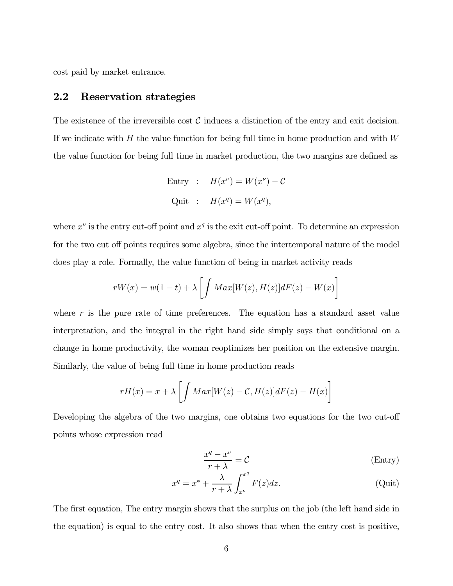cost paid by market entrance.

#### 2.2 Reservation strategies

The existence of the irreversible cost  $\mathcal C$  induces a distinction of the entry and exit decision. If we indicate with  $H$  the value function for being full time in home production and with  $W$ the value function for being full time in market production, the two margins are defined as

Entry : 
$$
H(x^{\nu}) = W(x^{\nu}) - C
$$
  
Quit :  $H(x^q) = W(x^q)$ ,

where  $x^{\nu}$  is the entry cut-off point and  $x^{q}$  is the exit cut-off point. To determine an expression for the two cut off points requires some algebra, since the intertemporal nature of the model does play a role. Formally, the value function of being in market activity reads

$$
rW(x) = w(1-t) + \lambda \left[ \int Max[W(z), H(z)]dF(z) - W(x) \right]
$$

where  $r$  is the pure rate of time preferences. The equation has a standard asset value interpretation, and the integral in the right hand side simply says that conditional on a change in home productivity, the woman reoptimizes her position on the extensive margin. Similarly, the value of being full time in home production reads

$$
rH(x) = x + \lambda \left[ \int Max[W(z) - C, H(z)]dF(z) - H(x) \right]
$$

Developing the algebra of the two margins, one obtains two equations for the two cut-off points whose expression read

$$
\frac{x^q - x^{\nu}}{r + \lambda} = \mathcal{C}
$$
 (Entry)

$$
x^{q} = x^{*} + \frac{\lambda}{r + \lambda} \int_{x^{\nu}}^{x^{q}} F(z) dz.
$$
 (Quit)

The first equation, The entry margin shows that the surplus on the job (the left hand side in the equation) is equal to the entry cost. It also shows that when the entry cost is positive,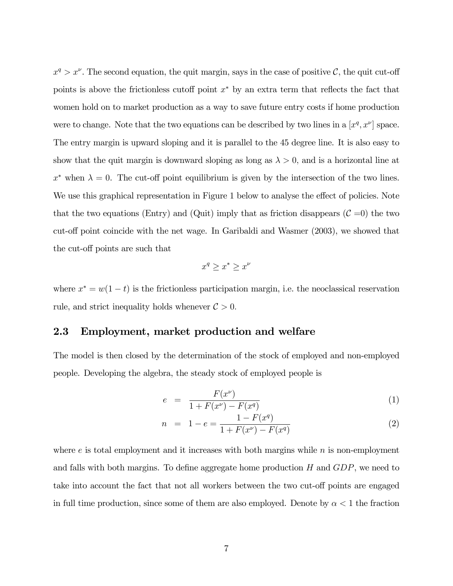$x^q > x^{\nu}$ . The second equation, the quit margin, says in the case of positive C, the quit cut-off points is above the frictionless cutoff point  $x^*$  by an extra term that reflects the fact that women hold on to market production as a way to save future entry costs if home production were to change. Note that the two equations can be described by two lines in a  $[x^q, x^{\nu}]$  space. The entry margin is upward sloping and it is parallel to the 45 degree line. It is also easy to show that the quit margin is downward sloping as long as  $\lambda > 0$ , and is a horizontal line at  $x^*$  when  $\lambda = 0$ . The cut-off point equilibrium is given by the intersection of the two lines. We use this graphical representation in Figure 1 below to analyse the effect of policies. Note that the two equations (Entry) and (Quit) imply that as friction disappears ( $\mathcal{C} = 0$ ) the two cut-off point coincide with the net wage. In Garibaldi and Wasmer (2003), we showed that the cut-off points are such that

$$
x^q \geq x^* \geq x^{\nu}
$$

where  $x^* = w(1-t)$  is the frictionless participation margin, i.e. the neoclassical reservation rule, and strict inequality holds whenever  $\mathcal{C} > 0$ .

#### 2.3 Employment, market production and welfare

The model is then closed by the determination of the stock of employed and non-employed people. Developing the algebra, the steady stock of employed people is

$$
e = \frac{F(x^{\nu})}{1 + F(x^{\nu}) - F(x^q)}
$$
(1)

$$
n = 1 - e = \frac{1 - F(x^{q})}{1 + F(x^{\nu}) - F(x^{q})}
$$
\n(2)

where  $e$  is total employment and it increases with both margins while  $n$  is non-employment and falls with both margins. To define aggregate home production  $H$  and  $GDP$ , we need to take into account the fact that not all workers between the two cut-off points are engaged in full time production, since some of them are also employed. Denote by  $\alpha < 1$  the fraction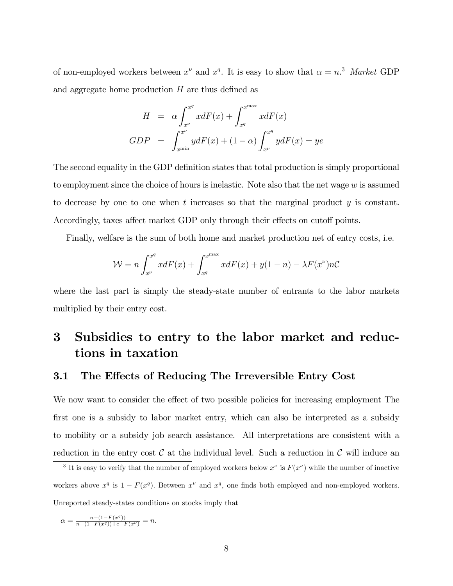of non-employed workers between  $x^{\nu}$  and  $x^{q}$ . It is easy to show that  $\alpha = n^{3}$  Market GDP and aggregate home production  $H$  are thus defined as

$$
H = \alpha \int_{x^{\nu}}^{x^q} x dF(x) + \int_{x^q}^{x^{\max}} x dF(x)
$$
  
\n
$$
GDP = \int_{x^{\min}}^{x^{\nu}} y dF(x) + (1 - \alpha) \int_{x^{\nu}}^{x^q} y dF(x) = ye
$$

The second equality in the GDP definition states that total production is simply proportional to employment since the choice of hours is inelastic. Note also that the net wage  $w$  is assumed to decrease by one to one when  $t$  increases so that the marginal product  $y$  is constant. Accordingly, taxes affect market GDP only through their effects on cutoff points.

Finally, welfare is the sum of both home and market production net of entry costs, i.e.

$$
\mathcal{W} = n \int_{x^{\nu}}^{x^q} x dF(x) + \int_{x^q}^{x^{\max}} x dF(x) + y(1 - n) - \lambda F(x^{\nu}) nC
$$

where the last part is simply the steady-state number of entrants to the labor markets multiplied by their entry cost.

## 3 Subsidies to entry to the labor market and reductions in taxation

#### 3.1 The Effects of Reducing The Irreversible Entry Cost

We now want to consider the effect of two possible policies for increasing employment The first one is a subsidy to labor market entry, which can also be interpreted as a subsidy to mobility or a subsidy job search assistance. All interpretations are consistent with a reduction in the entry cost  $\mathcal C$  at the individual level. Such a reduction in  $\mathcal C$  will induce an

$$
\alpha = \frac{n - (1 - F(x^{q}))}{n - (1 - F(x^{q})) + e - F(x^{\nu})} = n.
$$

<sup>&</sup>lt;sup>3</sup> It is easy to verify that the number of employed workers below  $x^{\nu}$  is  $F(x^{\nu})$  while the number of inactive workers above  $x^q$  is  $1 - F(x^q)$ . Between  $x^{\nu}$  and  $x^q$ , one finds both employed and non-employed workers. Unreported steady-states conditions on stocks imply that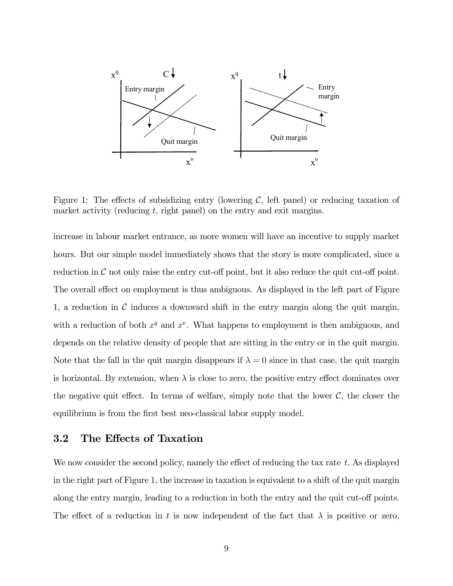

Figure 1: The effects of subsidizing entry (lowering  $C$ , left panel) or reducing taxation of market activity (reducing  $t$ , right panel) on the entry and exit margins.

increase in labour market entrance, as more women will have an incentive to supply market hours. But our simple model immediately shows that the story is more complicated, since a reduction in  $\mathcal C$  not only raise the entry cut-off point, but it also reduce the quit cut-off point. The overall effect on employment is thus ambiguous. As displayed in the left part of Figure 1, a reduction in  $\mathcal C$  induces a downward shift in the entry margin along the quit margin, with a reduction of both  $x^q$  and  $x^{\nu}$ . What happens to employment is then ambiguous, and depends on the relative density of people that are sitting in the entry or in the quit margin. Note that the fall in the quit margin disappears if  $\lambda = 0$  since in that case, the quit margin is horizontal. By extension, when  $\lambda$  is close to zero, the positive entry effect dominates over the negative quit effect. In terms of welfare, simply note that the lower  $\mathcal{C}$ , the closer the equilibrium is from the first best neo-classical labor supply model.

#### 3.2 The Effects of Taxation

We now consider the second policy, namely the effect of reducing the tax rate t. As displayed in the right part of Figure 1, the increase in taxation is equivalent to a shift of the quit margin along the entry margin, leading to a reduction in both the entry and the quit cut-off points. The effect of a reduction in t is now independent of the fact that  $\lambda$  is positive or zero,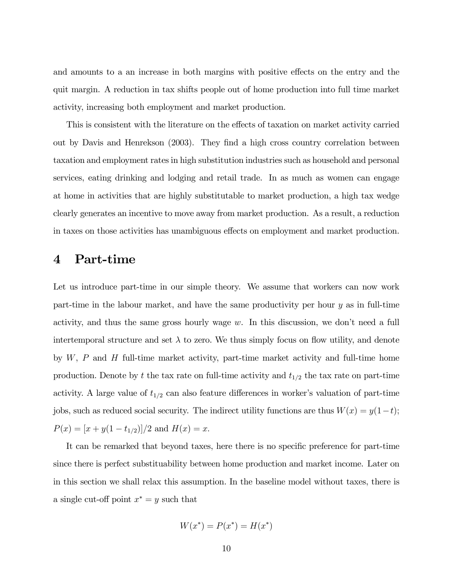and amounts to a an increase in both margins with positive effects on the entry and the quit margin. A reduction in tax shifts people out of home production into full time market activity, increasing both employment and market production.

This is consistent with the literature on the effects of taxation on market activity carried out by Davis and Henrekson (2003). They find a high cross country correlation between taxation and employment rates in high substitution industries such as household and personal services, eating drinking and lodging and retail trade. In as much as women can engage at home in activities that are highly substitutable to market production, a high tax wedge clearly generates an incentive to move away from market production. As a result, a reduction in taxes on those activities has unambiguous effects on employment and market production.

## 4 Part-time

Let us introduce part-time in our simple theory. We assume that workers can now work part-time in the labour market, and have the same productivity per hour  $y$  as in full-time activity, and thus the same gross hourly wage w. In this discussion, we don't need a full intertemporal structure and set  $\lambda$  to zero. We thus simply focus on flow utility, and denote by  $W, P$  and  $H$  full-time market activity, part-time market activity and full-time home production. Denote by t the tax rate on full-time activity and  $t_{1/2}$  the tax rate on part-time activity. A large value of  $t_{1/2}$  can also feature differences in worker's valuation of part-time jobs, such as reduced social security. The indirect utility functions are thus  $W(x) = y(1-t)$ ;  $P(x)=[x + y(1 - t_{1/2})]/2$  and  $H(x) = x$ .

It can be remarked that beyond taxes, here there is no specific preference for part-time since there is perfect substituability between home production and market income. Later on in this section we shall relax this assumption. In the baseline model without taxes, there is a single cut-off point  $x^* = y$  such that

$$
W(x^*) = P(x^*) = H(x^*)
$$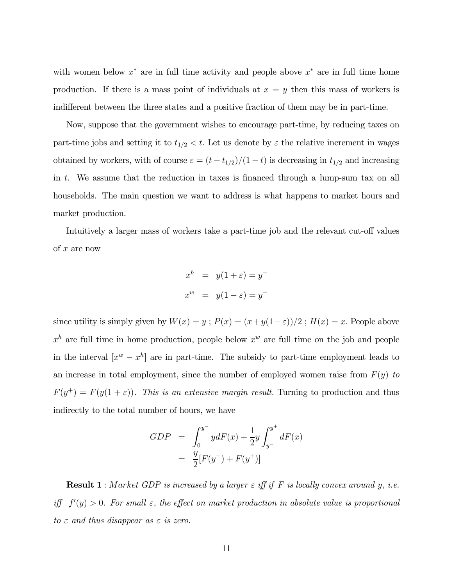with women below  $x^*$  are in full time activity and people above  $x^*$  are in full time home production. If there is a mass point of individuals at  $x = y$  then this mass of workers is indifferent between the three states and a positive fraction of them may be in part-time.

Now, suppose that the government wishes to encourage part-time, by reducing taxes on part-time jobs and setting it to  $t_{1/2} < t$ . Let us denote by  $\varepsilon$  the relative increment in wages obtained by workers, with of course  $\varepsilon = (t - t_{1/2})/(1 - t)$  is decreasing in  $t_{1/2}$  and increasing in t. We assume that the reduction in taxes is financed through a lump-sum tax on all households. The main question we want to address is what happens to market hours and market production.

Intuitively a larger mass of workers take a part-time job and the relevant cut-off values of  $x$  are now

$$
x^{h} = y(1+\varepsilon) = y^{+}
$$

$$
x^{w} = y(1-\varepsilon) = y^{-}
$$

since utility is simply given by  $W(x) = y$ ;  $P(x) = (x + y(1-\varepsilon))/2$ ;  $H(x) = x$ . People above  $x<sup>h</sup>$  are full time in home production, people below  $x<sup>w</sup>$  are full time on the job and people in the interval  $[x^w - x^h]$  are in part-time. The subsidy to part-time employment leads to an increase in total employment, since the number of employed women raise from  $F(y)$  to  $F(y^+) = F(y(1+\varepsilon))$ . This is an extensive margin result. Turning to production and thus indirectly to the total number of hours, we have

$$
GDP = \int_0^{y^-} y dF(x) + \frac{1}{2} y \int_{y^-}^{y^+} dF(x)
$$
  
=  $\frac{y}{2} [F(y^-) + F(y^+)]$ 

**Result 1**: Market GDP is increased by a larger  $\varepsilon$  iff if F is locally convex around y, i.e. iff  $f'(y) > 0$ . For small  $\varepsilon$ , the effect on market production in absolute value is proportional to  $\varepsilon$  and thus disappear as  $\varepsilon$  is zero.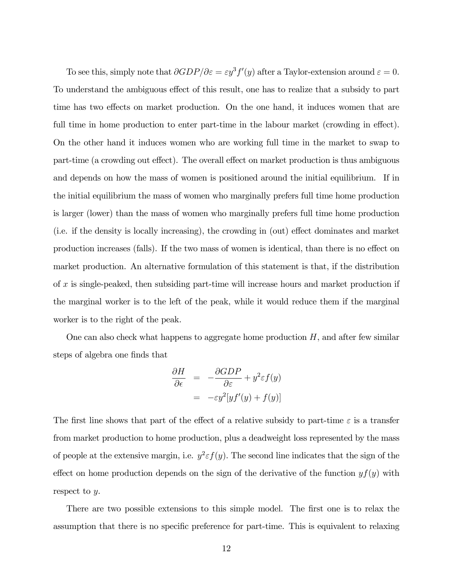To see this, simply note that  $\partial GDP/\partial \varepsilon = \varepsilon y^3 f'(y)$  after a Taylor-extension around  $\varepsilon = 0$ . To understand the ambiguous effect of this result, one has to realize that a subsidy to part time has two effects on market production. On the one hand, it induces women that are full time in home production to enter part-time in the labour market (crowding in effect). On the other hand it induces women who are working full time in the market to swap to part-time (a crowding out effect). The overall effect on market production is thus ambiguous and depends on how the mass of women is positioned around the initial equilibrium. If in the initial equilibrium the mass of women who marginally prefers full time home production is larger (lower) than the mass of women who marginally prefers full time home production (i.e. if the density is locally increasing), the crowding in (out) effect dominates and market production increases (falls). If the two mass of women is identical, than there is no effect on market production. An alternative formulation of this statement is that, if the distribution of x is single-peaked, then subsiding part-time will increase hours and market production if the marginal worker is to the left of the peak, while it would reduce them if the marginal worker is to the right of the peak.

One can also check what happens to aggregate home production  $H$ , and after few similar steps of algebra one finds that

$$
\frac{\partial H}{\partial \epsilon} = -\frac{\partial GDP}{\partial \epsilon} + y^2 \epsilon f(y)
$$

$$
= -\epsilon y^2 [y f'(y) + f(y)]
$$

The first line shows that part of the effect of a relative subsidy to part-time  $\varepsilon$  is a transfer from market production to home production, plus a deadweight loss represented by the mass of people at the extensive margin, i.e.  $y^2 \epsilon f(y)$ . The second line indicates that the sign of the effect on home production depends on the sign of the derivative of the function  $y f(y)$  with respect to y.

There are two possible extensions to this simple model. The first one is to relax the assumption that there is no specific preference for part-time. This is equivalent to relaxing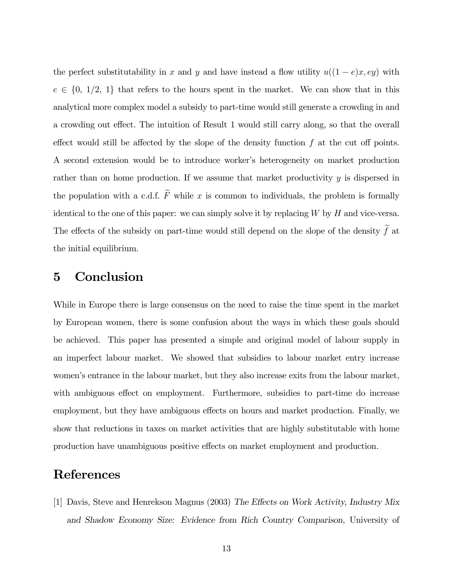the perfect substitutability in x and y and have instead a flow utility  $u((1 - e)x, ey)$  with  $e \in \{0, 1/2, 1\}$  that refers to the hours spent in the market. We can show that in this analytical more complex model a subsidy to part-time would still generate a crowding in and a crowding out effect. The intuition of Result 1 would still carry along, so that the overall effect would still be affected by the slope of the density function  $f$  at the cut off points. A second extension would be to introduce worker's heterogeneity on market production rather than on home production. If we assume that market productivity  $y$  is dispersed in the population with a c.d.f.  $\widetilde{F}$  while x is common to individuals, the problem is formally identical to the one of this paper: we can simply solve it by replacing  $W$  by  $H$  and vice-versa. The effects of the subsidy on part-time would still depend on the slope of the density  $f$  at the initial equilibrium.

#### 5 Conclusion

While in Europe there is large consensus on the need to raise the time spent in the market by European women, there is some confusion about the ways in which these goals should be achieved. This paper has presented a simple and original model of labour supply in an imperfect labour market. We showed that subsidies to labour market entry increase women's entrance in the labour market, but they also increase exits from the labour market, with ambiguous effect on employment. Furthermore, subsidies to part-time do increase employment, but they have ambiguous effects on hours and market production. Finally, we show that reductions in taxes on market activities that are highly substitutable with home production have unambiguous positive effects on market employment and production.

## References

[1] Davis, Steve and Henrekson Magnus (2003) The Effects on Work Activity, Industry Mix and Shadow Economy Size: Evidence from Rich Country Comparison, University of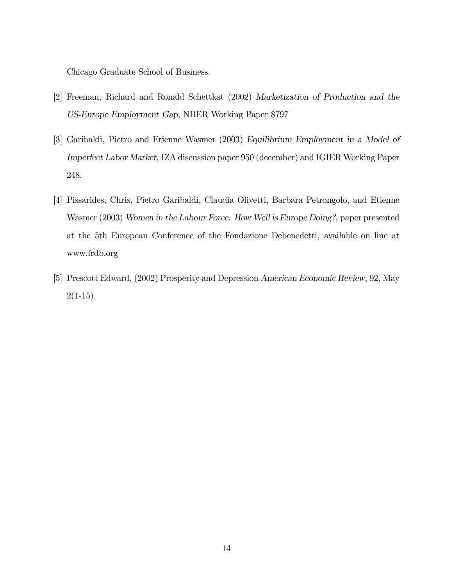Chicago Graduate School of Business.

- [2] Freeman, Richard and Ronald Schettkat (2002) Marketization of Production and the US-Europe Employment Gap, NBER Working Paper 8797
- [3] Garibaldi, Pietro and Etienne Wasmer (2003) Equilibrium Employment in a Model of Imperfect Labor Market, IZA discussion paper 950 (december) and IGIER Working Paper 248.
- [4] Pissarides, Chris, Pietro Garibaldi, Claudia Olivetti, Barbara Petrongolo, and Etienne Wasmer (2003) Women in the Labour Force: How Well is Europe Doing?, paper presented at the 5th European Conference of the Fondazione Debenedetti, available on line at www.frdb.org
- [5] Prescott Edward, (2002) Prosperity and Depression American Economic Review, 92, May  $2(1-15)$ .